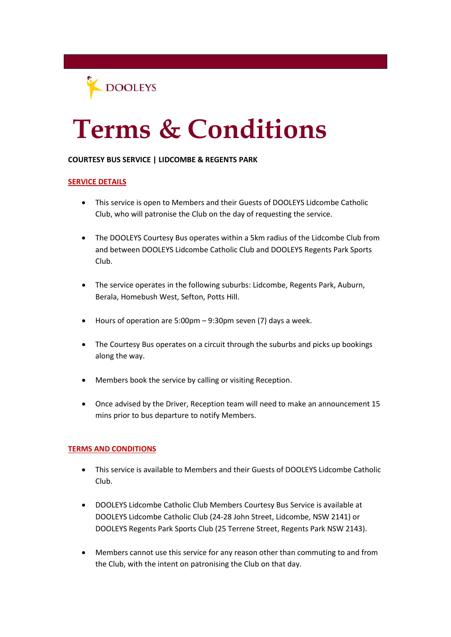

## **Terms & Conditions**

## **COURTESY BUS SERVICE | LIDCOMBE & REGENTS PARK**

## **SERVICE DETAILS**

- This service is open to Members and their Guests of DOOLEYS Lidcombe Catholic Club, who will patronise the Club on the day of requesting the service.
- The DOOLEYS Courtesy Bus operates within a 5km radius of the Lidcombe Club from and between DOOLEYS Lidcombe Catholic Club and DOOLEYS Regents Park Sports Club.
- The service operates in the following suburbs: Lidcombe, Regents Park, Auburn, Berala, Homebush West, Sefton, Potts Hill.
- Hours of operation are 5:00pm 9:30pm seven (7) days a week.
- The Courtesy Bus operates on a circuit through the suburbs and picks up bookings along the way.
- Members book the service by calling or visiting Reception.
- Once advised by the Driver, Reception team will need to make an announcement 15 mins prior to bus departure to notify Members.

## **TERMS AND CONDITIONS**

- This service is available to Members and their Guests of DOOLEYS Lidcombe Catholic Club.
- DOOLEYS Lidcombe Catholic Club Members Courtesy Bus Service is available at DOOLEYS Lidcombe Catholic Club (24-28 John Street, Lidcombe, NSW 2141) or DOOLEYS Regents Park Sports Club (25 Terrene Street, Regents Park NSW 2143).
- Members cannot use this service for any reason other than commuting to and from the Club, with the intent on patronising the Club on that day.